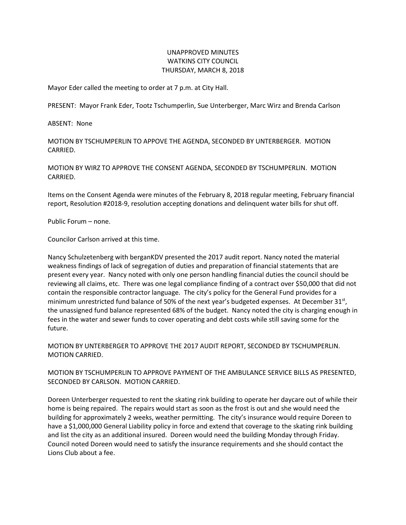## UNAPPROVED MINUTES WATKINS CITY COUNCIL THURSDAY, MARCH 8, 2018

Mayor Eder called the meeting to order at 7 p.m. at City Hall.

PRESENT: Mayor Frank Eder, Tootz Tschumperlin, Sue Unterberger, Marc Wirz and Brenda Carlson

ABSENT: None

MOTION BY TSCHUMPERLIN TO APPOVE THE AGENDA, SECONDED BY UNTERBERGER. MOTION CARRIED.

MOTION BY WIRZ TO APPROVE THE CONSENT AGENDA, SECONDED BY TSCHUMPERLIN. MOTION CARRIED.

Items on the Consent Agenda were minutes of the February 8, 2018 regular meeting, February financial report, Resolution #2018-9, resolution accepting donations and delinquent water bills for shut off.

Public Forum – none.

Councilor Carlson arrived at this time.

Nancy Schulzetenberg with berganKDV presented the 2017 audit report. Nancy noted the material weakness findings of lack of segregation of duties and preparation of financial statements that are present every year. Nancy noted with only one person handling financial duties the council should be reviewing all claims, etc. There was one legal compliance finding of a contract over \$50,000 that did not contain the responsible contractor language. The city's policy for the General Fund provides for a minimum unrestricted fund balance of 50% of the next year's budgeted expenses. At December 31<sup>st</sup>, the unassigned fund balance represented 68% of the budget. Nancy noted the city is charging enough in fees in the water and sewer funds to cover operating and debt costs while still saving some for the future.

MOTION BY UNTERBERGER TO APPROVE THE 2017 AUDIT REPORT, SECONDED BY TSCHUMPERLIN. MOTION CARRIED.

MOTION BY TSCHUMPERLIN TO APPROVE PAYMENT OF THE AMBULANCE SERVICE BILLS AS PRESENTED, SECONDED BY CARLSON. MOTION CARRIED.

Doreen Unterberger requested to rent the skating rink building to operate her daycare out of while their home is being repaired. The repairs would start as soon as the frost is out and she would need the building for approximately 2 weeks, weather permitting. The city's insurance would require Doreen to have a \$1,000,000 General Liability policy in force and extend that coverage to the skating rink building and list the city as an additional insured. Doreen would need the building Monday through Friday. Council noted Doreen would need to satisfy the insurance requirements and she should contact the Lions Club about a fee.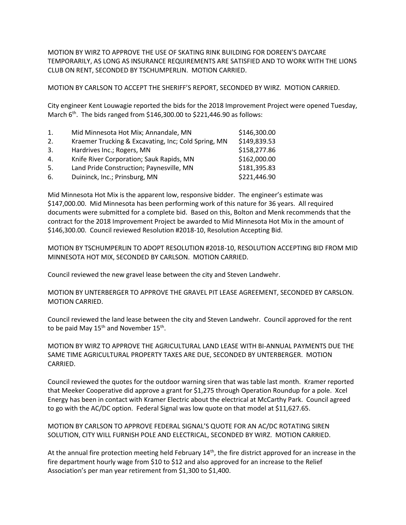MOTION BY WIRZ TO APPROVE THE USE OF SKATING RINK BUILDING FOR DOREEN'S DAYCARE TEMPORARILY, AS LONG AS INSURANCE REQUIREMENTS ARE SATISFIED AND TO WORK WITH THE LIONS CLUB ON RENT, SECONDED BY TSCHUMPERLIN. MOTION CARRIED.

MOTION BY CARLSON TO ACCEPT THE SHERIFF'S REPORT, SECONDED BY WIRZ. MOTION CARRIED.

City engineer Kent Louwagie reported the bids for the 2018 Improvement Project were opened Tuesday, March  $6<sup>th</sup>$ . The bids ranged from \$146,300.00 to \$221,446.90 as follows:

| 1. | Mid Minnesota Hot Mix; Annandale, MN                | \$146,300.00 |
|----|-----------------------------------------------------|--------------|
| 2. | Kraemer Trucking & Excavating, Inc; Cold Spring, MN | \$149,839.53 |
| 3. | Hardrives Inc.; Rogers, MN                          | \$158,277.86 |
| 4. | Knife River Corporation; Sauk Rapids, MN            | \$162,000.00 |
| 5. | Land Pride Construction; Paynesville, MN            | \$181,395.83 |
| 6. | Duininck, Inc.; Prinsburg, MN                       | \$221,446.90 |

Mid Minnesota Hot Mix is the apparent low, responsive bidder. The engineer's estimate was \$147,000.00. Mid Minnesota has been performing work of this nature for 36 years. All required documents were submitted for a complete bid. Based on this, Bolton and Menk recommends that the contract for the 2018 Improvement Project be awarded to Mid Minnesota Hot Mix in the amount of \$146,300.00. Council reviewed Resolution #2018-10, Resolution Accepting Bid.

MOTION BY TSCHUMPERLIN TO ADOPT RESOLUTION #2018-10, RESOLUTION ACCEPTING BID FROM MID MINNESOTA HOT MIX, SECONDED BY CARLSON. MOTION CARRIED.

Council reviewed the new gravel lease between the city and Steven Landwehr.

MOTION BY UNTERBERGER TO APPROVE THE GRAVEL PIT LEASE AGREEMENT, SECONDED BY CARSLON. MOTION CARRIED.

Council reviewed the land lease between the city and Steven Landwehr. Council approved for the rent to be paid May 15<sup>th</sup> and November 15<sup>th</sup>.

MOTION BY WIRZ TO APPROVE THE AGRICULTURAL LAND LEASE WITH BI-ANNUAL PAYMENTS DUE THE SAME TIME AGRICULTURAL PROPERTY TAXES ARE DUE, SECONDED BY UNTERBERGER. MOTION CARRIED.

Council reviewed the quotes for the outdoor warning siren that was table last month. Kramer reported that Meeker Cooperative did approve a grant for \$1,275 through Operation Roundup for a pole. Xcel Energy has been in contact with Kramer Electric about the electrical at McCarthy Park. Council agreed to go with the AC/DC option. Federal Signal was low quote on that model at \$11,627.65.

MOTION BY CARLSON TO APPROVE FEDERAL SIGNAL'S QUOTE FOR AN AC/DC ROTATING SIREN SOLUTION, CITY WILL FURNISH POLE AND ELECTRICAL, SECONDED BY WIRZ. MOTION CARRIED.

At the annual fire protection meeting held February  $14<sup>th</sup>$ , the fire district approved for an increase in the fire department hourly wage from \$10 to \$12 and also approved for an increase to the Relief Association's per man year retirement from \$1,300 to \$1,400.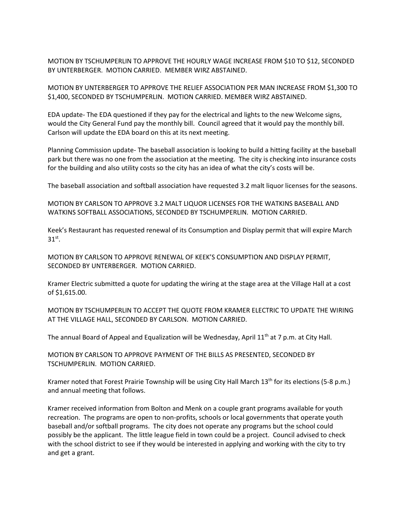MOTION BY TSCHUMPERLIN TO APPROVE THE HOURLY WAGE INCREASE FROM \$10 TO \$12, SECONDED BY UNTERBERGER. MOTION CARRIED. MEMBER WIRZ ABSTAINED.

MOTION BY UNTERBERGER TO APPROVE THE RELIEF ASSOCIATION PER MAN INCREASE FROM \$1,300 TO \$1,400, SECONDED BY TSCHUMPERLIN. MOTION CARRIED. MEMBER WIRZ ABSTAINED.

EDA update- The EDA questioned if they pay for the electrical and lights to the new Welcome signs, would the City General Fund pay the monthly bill. Council agreed that it would pay the monthly bill. Carlson will update the EDA board on this at its next meeting.

Planning Commission update- The baseball association is looking to build a hitting facility at the baseball park but there was no one from the association at the meeting. The city is checking into insurance costs for the building and also utility costs so the city has an idea of what the city's costs will be.

The baseball association and softball association have requested 3.2 malt liquor licenses for the seasons.

MOTION BY CARLSON TO APPROVE 3.2 MALT LIQUOR LICENSES FOR THE WATKINS BASEBALL AND WATKINS SOFTBALL ASSOCIATIONS, SECONDED BY TSCHUMPERLIN. MOTION CARRIED.

Keek's Restaurant has requested renewal of its Consumption and Display permit that will expire March  $31^\text{st}$ .

MOTION BY CARLSON TO APPROVE RENEWAL OF KEEK'S CONSUMPTION AND DISPLAY PERMIT, SECONDED BY UNTERBERGER. MOTION CARRIED.

Kramer Electric submitted a quote for updating the wiring at the stage area at the Village Hall at a cost of \$1,615.00.

MOTION BY TSCHUMPERLIN TO ACCEPT THE QUOTE FROM KRAMER ELECTRIC TO UPDATE THE WIRING AT THE VILLAGE HALL, SECONDED BY CARLSON. MOTION CARRIED.

The annual Board of Appeal and Equalization will be Wednesday, April 11<sup>th</sup> at 7 p.m. at City Hall.

MOTION BY CARLSON TO APPROVE PAYMENT OF THE BILLS AS PRESENTED, SECONDED BY TSCHUMPERLIN. MOTION CARRIED.

Kramer noted that Forest Prairie Township will be using City Hall March 13<sup>th</sup> for its elections (5-8 p.m.) and annual meeting that follows.

Kramer received information from Bolton and Menk on a couple grant programs available for youth recreation. The programs are open to non-profits, schools or local governments that operate youth baseball and/or softball programs. The city does not operate any programs but the school could possibly be the applicant. The little league field in town could be a project. Council advised to check with the school district to see if they would be interested in applying and working with the city to try and get a grant.